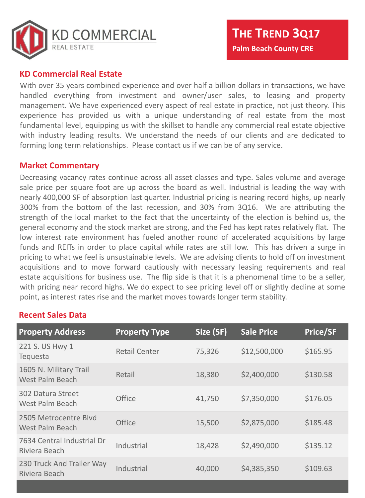

#### **KD Commercial Real Estate**

With over 35 years combined experience and over half a billion dollars in transactions, we have handled everything from investment and owner/user sales, to leasing and property management. We have experienced every aspect of real estate in practice, not just theory. This experience has provided us with a unique understanding of real estate from the most fundamental level, equipping us with the skillset to handle any commercial real estate objective with industry leading results. We understand the needs of our clients and are dedicated to forming long term relationships. Please contact us if we can be of any service.

#### **Market Commentary**

Decreasing vacancy rates continue across all asset classes and type. Sales volume and average sale price per square foot are up across the board as well. Industrial is leading the way with nearly 400,000 SF of absorption last quarter. Industrial pricing is nearing record highs, up nearly 300% from the bottom of the last recession, and 30% from 3Q16. We are attributing the strength of the local market to the fact that the uncertainty of the election is behind us, the general economy and the stock market are strong, and the Fed has kept rates relatively flat. The low interest rate environment has fueled another round of accelerated acquisitions by large funds and REITs in order to place capital while rates are still low. This has driven a surge in pricing to what we feel is unsustainable levels. We are advising clients to hold off on investment acquisitions and to move forward cautiously with necessary leasing requirements and real estate acquisitions for business use. The flip side is that it is a phenomenal time to be a seller, with pricing near record highs. We do expect to see pricing level off or slightly decline at some point, as interest rates rise and the market moves towards longer term stability.

### **Recent Sales Data**

| <b>Property Address</b>                            | <b>Property Type</b> | Size (SF) | <b>Sale Price</b> | <b>Price/SF</b> |
|----------------------------------------------------|----------------------|-----------|-------------------|-----------------|
| 221 S. US Hwy 1<br><b>Tequesta</b>                 | <b>Retail Center</b> | 75,326    | \$12,500,000      | \$165.95        |
| 1605 N. Military Trail<br><b>West Palm Beach</b>   | Retail               | 18,380    | \$2,400,000       | \$130.58        |
| <b>302 Datura Street</b><br><b>West Palm Beach</b> | <b>Office</b>        | 41,750    | \$7,350,000       | \$176.05        |
| 2505 Metrocentre Blyd<br><b>West Palm Beach</b>    | <b>Office</b>        | 15,500    | \$2,875,000       | \$185.48        |
| 7634 Central Industrial Dr<br>Riviera Beach        | Industrial           | 18,428    | \$2,490,000       | \$135.12        |
| 230 Truck And Trailer Way<br>Riviera Beach         | Industrial           | 40,000    | \$4,385,350       | \$109.63        |